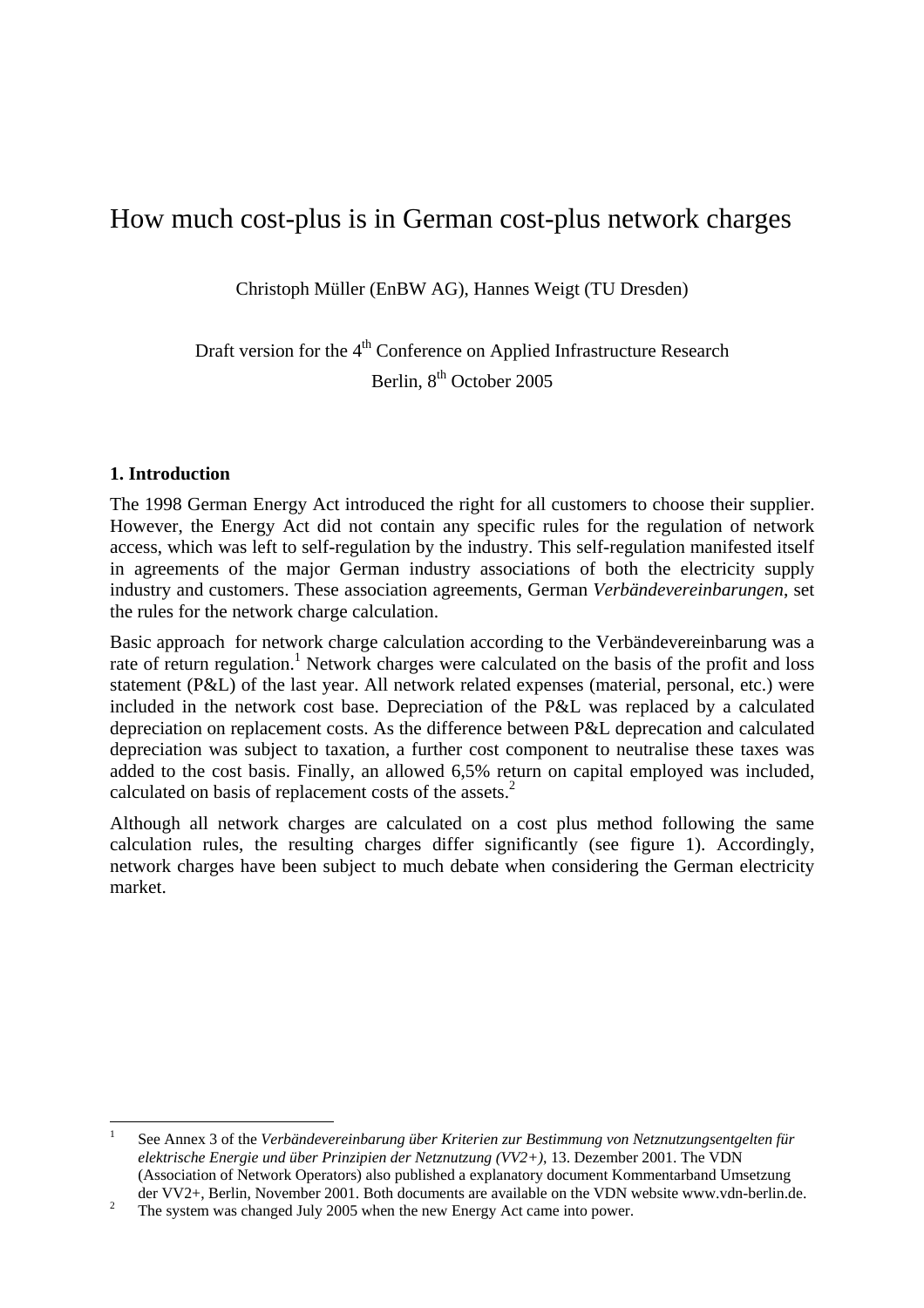# How much cost-plus is in German cost-plus network charges

Christoph Müller (EnBW AG), Hannes Weigt (TU Dresden)

Draft version for the  $4<sup>th</sup>$  Conference on Applied Infrastructure Research Berlin, 8<sup>th</sup> October 2005

# **1. Introduction**

1

The 1998 German Energy Act introduced the right for all customers to choose their supplier. However, the Energy Act did not contain any specific rules for the regulation of network access, which was left to self-regulation by the industry. This self-regulation manifested itself in agreements of the major German industry associations of both the electricity supply industry and customers. These association agreements, German *Verbändevereinbarungen*, set the rules for the network charge calculation.

Basic approach for network charge calculation according to the Verbändevereinbarung was a rate of return regulation.<sup>1</sup> Network charges were calculated on the basis of the profit and loss statement (P&L) of the last year. All network related expenses (material, personal, etc.) were included in the network cost base. Depreciation of the P&L was replaced by a calculated depreciation on replacement costs. As the difference between P&L deprecation and calculated depreciation was subject to taxation, a further cost component to neutralise these taxes was added to the cost basis. Finally, an allowed 6,5% return on capital employed was included, calculated on basis of replacement costs of the assets.<sup>2</sup>

Although all network charges are calculated on a cost plus method following the same calculation rules, the resulting charges differ significantly (see figure 1). Accordingly, network charges have been subject to much debate when considering the German electricity market.

<sup>1</sup> See Annex 3 of the *Verbändevereinbarung über Kriterien zur Bestimmung von Netznutzungsentgelten für elektrische Energie und über Prinzipien der Netznutzung (VV2+)*, 13. Dezember 2001. The VDN (Association of Network Operators) also published a explanatory document Kommentarband Umsetzung der VV2+, Berlin, November 2001. Both documents are available on the VDN website www.vdn-berlin.de. 2

The system was changed July 2005 when the new Energy Act came into power.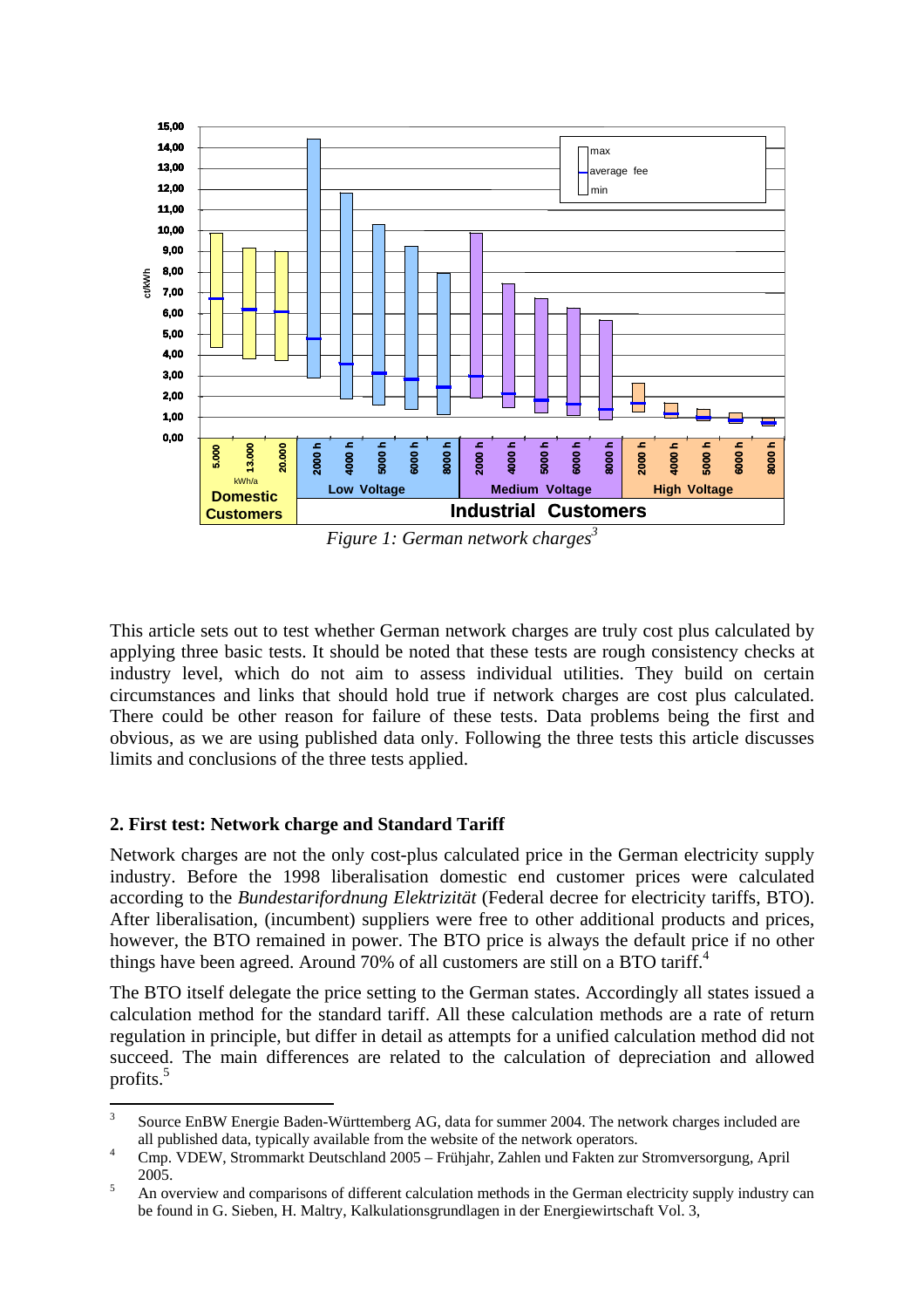

*Figure 1: German network charges*<sup>3</sup>

This article sets out to test whether German network charges are truly cost plus calculated by applying three basic tests. It should be noted that these tests are rough consistency checks at industry level, which do not aim to assess individual utilities. They build on certain circumstances and links that should hold true if network charges are cost plus calculated. There could be other reason for failure of these tests. Data problems being the first and obvious, as we are using published data only. Following the three tests this article discusses limits and conclusions of the three tests applied.

# **2. First test: Network charge and Standard Tariff**

Network charges are not the only cost-plus calculated price in the German electricity supply industry. Before the 1998 liberalisation domestic end customer prices were calculated according to the *Bundestarifordnung Elektrizität* (Federal decree for electricity tariffs, BTO). After liberalisation, (incumbent) suppliers were free to other additional products and prices, however, the BTO remained in power. The BTO price is always the default price if no other things have been agreed. Around 70% of all customers are still on a BTO tariff.<sup>4</sup>

The BTO itself delegate the price setting to the German states. Accordingly all states issued a calculation method for the standard tariff. All these calculation methods are a rate of return regulation in principle, but differ in detail as attempts for a unified calculation method did not succeed. The main differences are related to the calculation of depreciation and allowed profits.<sup>5</sup>

<sup>1</sup> 3 Source EnBW Energie Baden-Württemberg AG, data for summer 2004. The network charges included are all published data, typically available from the website of the network operators.

Cmp. VDEW, Strommarkt Deutschland 2005 – Frühjahr, Zahlen und Fakten zur Stromversorgung, April  $2005.$ 

An overview and comparisons of different calculation methods in the German electricity supply industry can be found in G. Sieben, H. Maltry, Kalkulationsgrundlagen in der Energiewirtschaft Vol. 3,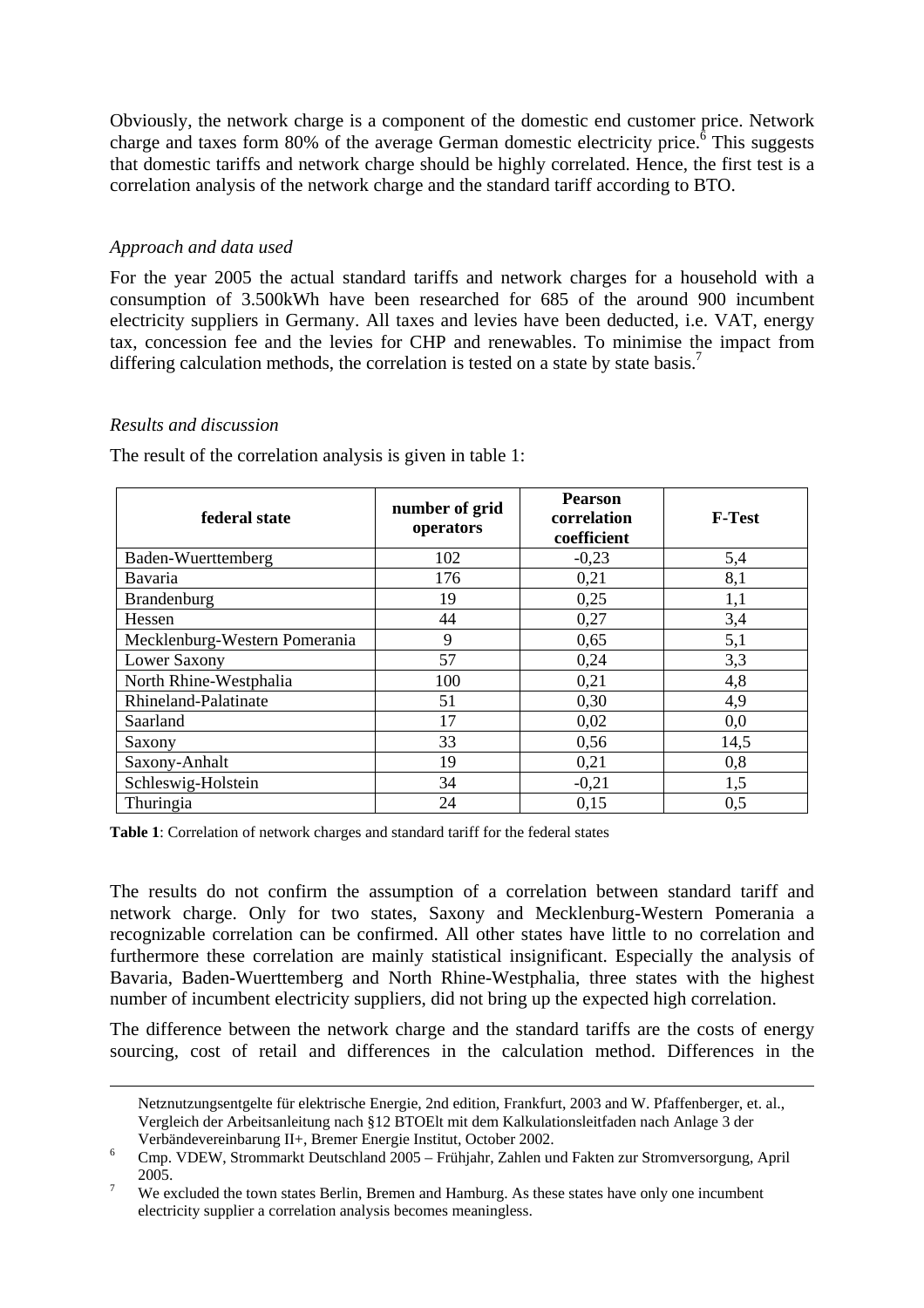Obviously, the network charge is a component of the domestic end customer price. Network charge and taxes form 80% of the average German domestic electricity price. $\delta$  This suggests that domestic tariffs and network charge should be highly correlated. Hence, the first test is a correlation analysis of the network charge and the standard tariff according to BTO.

# *Approach and data used*

For the year 2005 the actual standard tariffs and network charges for a household with a consumption of 3.500kWh have been researched for 685 of the around 900 incumbent electricity suppliers in Germany. All taxes and levies have been deducted, i.e. VAT, energy tax, concession fee and the levies for CHP and renewables. To minimise the impact from differing calculation methods, the correlation is tested on a state by state basis.<sup>7</sup>

#### *Results and discussion*

The result of the correlation analysis is given in table 1:

| federal state                 | number of grid<br>operators | <b>Pearson</b><br>correlation<br>coefficient | <b>F-Test</b> |
|-------------------------------|-----------------------------|----------------------------------------------|---------------|
| Baden-Wuerttemberg            | 102                         | $-0,23$                                      | 5,4           |
| Bavaria                       | 176                         | 0,21                                         | 8,1           |
| Brandenburg                   | 19                          | 0,25                                         | 1,1           |
| Hessen                        | 44                          | 0,27                                         | 3,4           |
| Mecklenburg-Western Pomerania | 9                           | 0,65                                         | 5,1           |
| Lower Saxony                  | 57                          | 0,24                                         | 3,3           |
| North Rhine-Westphalia        | 100                         | 0,21                                         | 4,8           |
| Rhineland-Palatinate          | 51                          | 0,30                                         | 4,9           |
| Saarland                      | 17                          | 0,02                                         | 0,0           |
| Saxony                        | 33                          | 0,56                                         | 14,5          |
| Saxony-Anhalt                 | 19                          | 0,21                                         | 0,8           |
| Schleswig-Holstein            | 34                          | $-0,21$                                      | 1,5           |
| Thuringia                     | 24                          | 0,15                                         | 0,5           |

**Table 1**: Correlation of network charges and standard tariff for the federal states

The results do not confirm the assumption of a correlation between standard tariff and network charge. Only for two states, Saxony and Mecklenburg-Western Pomerania a recognizable correlation can be confirmed. All other states have little to no correlation and furthermore these correlation are mainly statistical insignificant. Especially the analysis of Bavaria, Baden-Wuerttemberg and North Rhine-Westphalia, three states with the highest number of incumbent electricity suppliers, did not bring up the expected high correlation.

The difference between the network charge and the standard tariffs are the costs of energy sourcing, cost of retail and differences in the calculation method. Differences in the

Netznutzungsentgelte für elektrische Energie, 2nd edition, Frankfurt, 2003 and W. Pfaffenberger, et. al., Vergleich der Arbeitsanleitung nach §12 BTOElt mit dem Kalkulationsleitfaden nach Anlage 3 der Verbändevereinbarung II+, Bremer Energie Institut, October 2002. 6

Cmp. VDEW, Strommarkt Deutschland 2005 – Frühjahr, Zahlen und Fakten zur Stromversorgung, April  $\frac{2005}{7}$ .

We excluded the town states Berlin, Bremen and Hamburg. As these states have only one incumbent electricity supplier a correlation analysis becomes meaningless.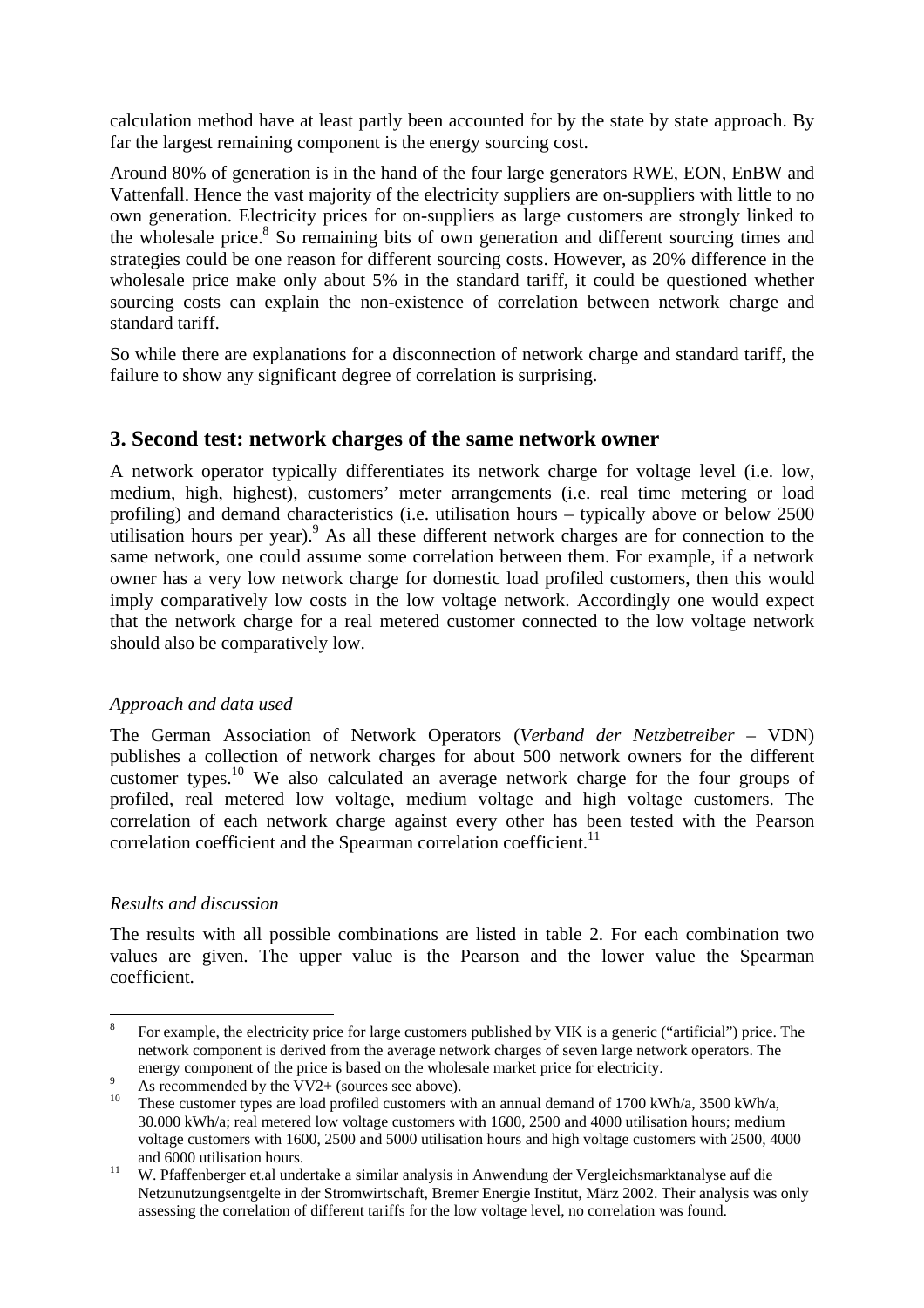calculation method have at least partly been accounted for by the state by state approach. By far the largest remaining component is the energy sourcing cost.

Around 80% of generation is in the hand of the four large generators RWE, EON, EnBW and Vattenfall. Hence the vast majority of the electricity suppliers are on-suppliers with little to no own generation. Electricity prices for on-suppliers as large customers are strongly linked to the wholesale price.<sup>8</sup> So remaining bits of own generation and different sourcing times and strategies could be one reason for different sourcing costs. However, as 20% difference in the wholesale price make only about 5% in the standard tariff, it could be questioned whether sourcing costs can explain the non-existence of correlation between network charge and standard tariff.

So while there are explanations for a disconnection of network charge and standard tariff, the failure to show any significant degree of correlation is surprising.

# **3. Second test: network charges of the same network owner**

A network operator typically differentiates its network charge for voltage level (i.e. low, medium, high, highest), customers' meter arrangements (i.e. real time metering or load profiling) and demand characteristics (i.e. utilisation hours – typically above or below 2500 utilisation hours per year).<sup>9</sup> As all these different network charges are for connection to the same network, one could assume some correlation between them. For example, if a network owner has a very low network charge for domestic load profiled customers, then this would imply comparatively low costs in the low voltage network. Accordingly one would expect that the network charge for a real metered customer connected to the low voltage network should also be comparatively low.

#### *Approach and data used*

The German Association of Network Operators (*Verband der Netzbetreiber* – VDN) publishes a collection of network charges for about 500 network owners for the different customer types.10 We also calculated an average network charge for the four groups of profiled, real metered low voltage, medium voltage and high voltage customers. The correlation of each network charge against every other has been tested with the Pearson correlation coefficient and the Spearman correlation coefficient.<sup>11</sup>

#### *Results and discussion*

The results with all possible combinations are listed in table 2. For each combination two values are given. The upper value is the Pearson and the lower value the Spearman coefficient.

 $\frac{1}{8}$  For example, the electricity price for large customers published by VIK is a generic ("artificial") price. The network component is derived from the average network charges of seven large network operators. The energy component of the price is based on the wholesale market price for electricity.

As recommended by the VV2+ (sources see above).

<sup>&</sup>lt;sup>10</sup> These customer types are load profiled customers with an annual demand of 1700 kWh/a, 3500 kWh/a, 30.000 kWh/a; real metered low voltage customers with 1600, 2500 and 4000 utilisation hours; medium voltage customers with 1600, 2500 and 5000 utilisation hours and high voltage customers with 2500, 4000 and 6000 utilisation hours.<br><sup>11</sup> W. Pfaffenberger et.al undertake a similar analysis in Anwendung der Vergleichsmarktanalyse auf die

Netzunutzungsentgelte in der Stromwirtschaft, Bremer Energie Institut, März 2002. Their analysis was only assessing the correlation of different tariffs for the low voltage level, no correlation was found.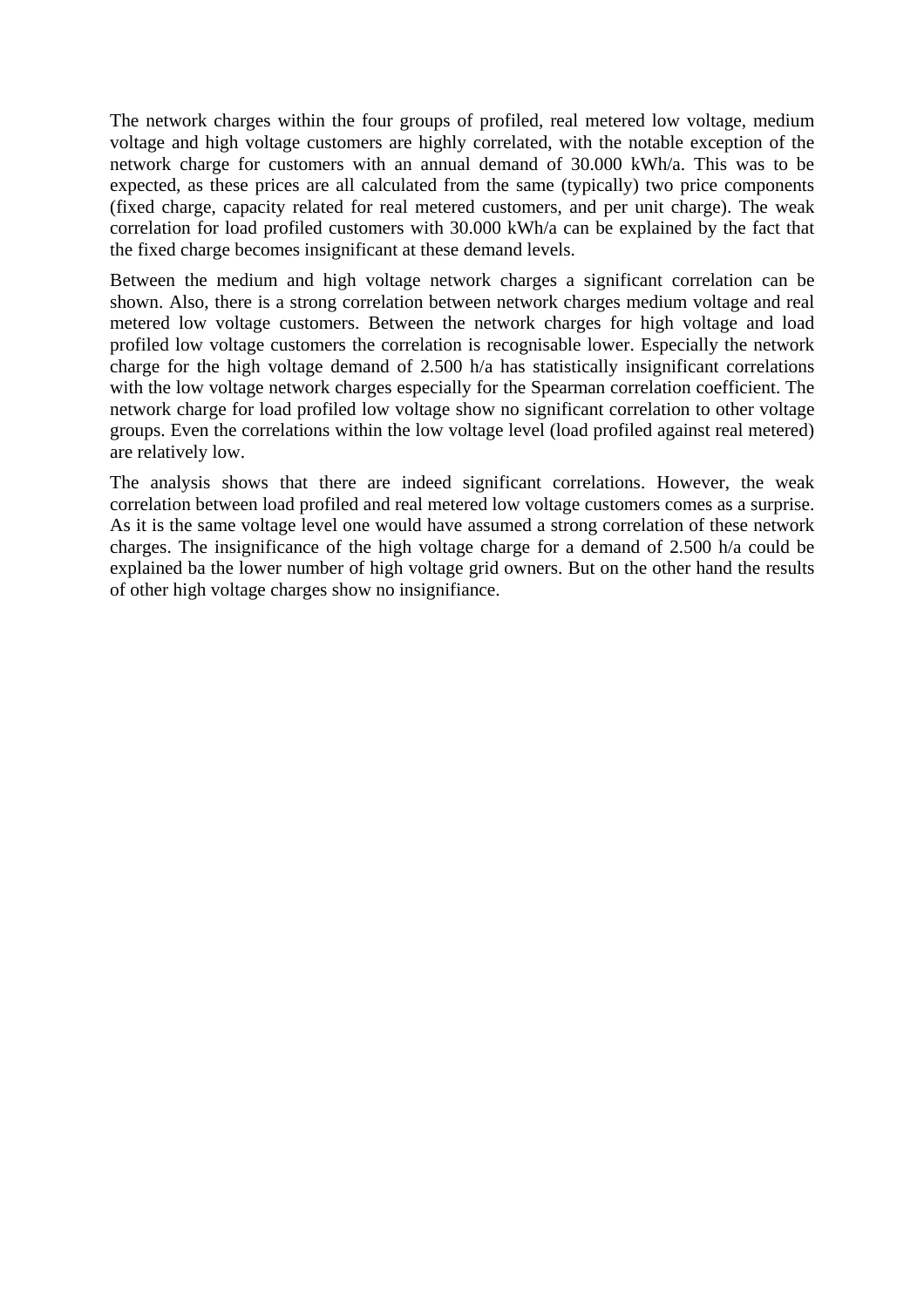The network charges within the four groups of profiled, real metered low voltage, medium voltage and high voltage customers are highly correlated, with the notable exception of the network charge for customers with an annual demand of 30.000 kWh/a. This was to be expected, as these prices are all calculated from the same (typically) two price components (fixed charge, capacity related for real metered customers, and per unit charge). The weak correlation for load profiled customers with 30.000 kWh/a can be explained by the fact that the fixed charge becomes insignificant at these demand levels.

Between the medium and high voltage network charges a significant correlation can be shown. Also, there is a strong correlation between network charges medium voltage and real metered low voltage customers. Between the network charges for high voltage and load profiled low voltage customers the correlation is recognisable lower. Especially the network charge for the high voltage demand of 2.500 h/a has statistically insignificant correlations with the low voltage network charges especially for the Spearman correlation coefficient. The network charge for load profiled low voltage show no significant correlation to other voltage groups. Even the correlations within the low voltage level (load profiled against real metered) are relatively low.

The analysis shows that there are indeed significant correlations. However, the weak correlation between load profiled and real metered low voltage customers comes as a surprise. As it is the same voltage level one would have assumed a strong correlation of these network charges. The insignificance of the high voltage charge for a demand of 2.500 h/a could be explained ba the lower number of high voltage grid owners. But on the other hand the results of other high voltage charges show no insignifiance.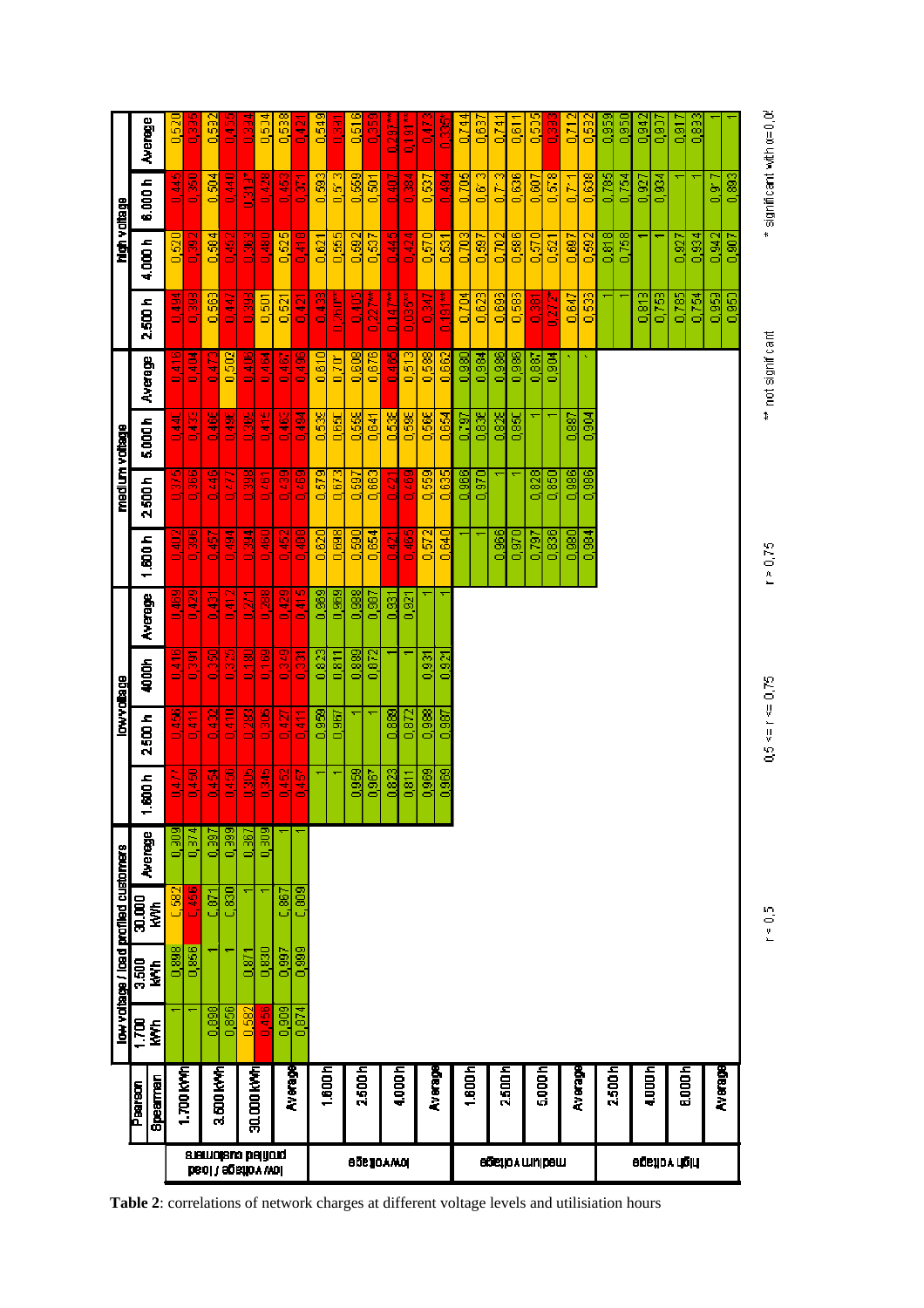|                                           |                     |                    | low voltage / load profiled customers |                         |               |                   | lowy oltage      |                   |                    |                    |              | medium voltage |                         |                       | high voltage      |                                    |                   |
|-------------------------------------------|---------------------|--------------------|---------------------------------------|-------------------------|---------------|-------------------|------------------|-------------------|--------------------|--------------------|--------------|----------------|-------------------------|-----------------------|-------------------|------------------------------------|-------------------|
|                                           | Spearnan<br>Pearson | $\frac{1}{2}$<br>ξ | $\frac{3}{2}$<br><b>RWh</b>           | 30.000<br>$\frac{1}{2}$ | Average       | 1.600h            | 2500h            | <b>SOOP</b>       | Average            | 1.000h             | <b>2500h</b> | 5.000 h        | Average                 | 2.500 h               | 4.000h            | £<br>6.000                         | Average           |
|                                           |                     |                    | 0.898                                 | 0.582                   | 0.909         | 킈                 | $\frac{9}{2}$    | 0,416             | 0,469              | 9<br>D             | 0.375        | $\frac{1}{2}$  | 0.416                   | $\frac{3}{10}$        | 0,520             | 0,445                              | $\frac{520}{520}$ |
|                                           | 1.700 kWh           |                    | 0.856                                 | 0.456                   | 0.874         | $\frac{5}{1450}$  | 0.411            | 0.391             | 0,429              | 0.396              | 0,366        | 0.433          | 0.404                   | 0.398                 | 0.392             | 0.360                              | ŏo<br>O           |
|                                           |                     | 88<br>d            |                                       | 0.671                   | 0.997         | $\frac{34}{21}$   | 0.432            | 0.350             | $\frac{1}{2}$<br>o | $\frac{1}{2}$<br>d | 0,446        | 0.466          | $\frac{2}{3}$           | 0.568                 | 0,584             | 0.504                              | 0.592             |
|                                           | 3.500 kWh           | 0.856              |                                       | 0.830                   | 0.999         | $\frac{66}{21}$   | 0.410            | $\frac{25}{2}$    | 0.412              | 0,494              | 0.477        | 0.496          | 0,502                   | 0,447                 | 0.452             | 0,440                              | ğ<br>Əl           |
|                                           | 30.000 kWh          | 0.582              | 0.871                                 | ٣                       | $\frac{1}{2}$ | 0.305             | 0.283            | 0.180             | 0.271              | $\frac{1}{2}$      | ese<br>D     | <b>8360</b>    | 0.406                   | 0.38                  | 0.363             | *919″ D                            | o<br>C            |
| suemotivo belitoria<br>beol \ egatiov wol |                     | 0.456              | 0.330                                 | Ψ                       | 0.809         | 0.345             | 0.305            | 0,169             | 0,288              | 0,460              | 0.467        | 0.415          | 0.464                   | 0.501                 | 0.480             | 0.428                              | 0.504             |
|                                           |                     | 0.909              | 0.997                                 | $rac{7}{80}$<br>o       |               | $\frac{64}{2452}$ | 0.427            | $\frac{1}{249}$   | 0,429              | 0,452              | 0,439        | 0,463          | 0,467                   | 0,521                 | 0,525             | 0.463                              | 0,538             |
|                                           | Average             | 0.074              | 0,999                                 | 0.809                   |               | <b>D457</b>       | 0.411            | $\frac{5}{0.331}$ | 0.415              | 0,488              | 0.469        | 0.494          | 0.496                   | 0.421                 | 0.418             | 0.371                              | $\frac{5}{2}$     |
|                                           | 1.800h              |                    |                                       |                         |               |                   | 0.959            | 0.823             | 0.969              | 0.620              | 0.579        | 0.539          | 0.610                   | 0.438                 | 0.621             | 0.593                              | 0.549             |
|                                           |                     |                    |                                       |                         |               |                   | 0.967            | $\frac{1}{2}$     | 0.969              | 0.698              | 0.673        | 0.650          | 0.701                   | 0.265                 | 0.555             | 0.513                              | $\frac{5}{2}$     |
|                                           | <b>2.500h</b>       |                    |                                       |                         |               | 0,959             | π                | 0.889             | 0.988              | 0,590              | 0.597        | 0.568          | 0.608                   | 0,406                 | 0,592             | 0.559                              | $\frac{61}{2}$    |
|                                           |                     |                    |                                       |                         |               | 0.967             | π                | 0.872             | 0.987              | 0,654              | 0,663        | 0.641          | 0,676                   | $0,227$ <sup>**</sup> | 0,537             | 0,501                              | $\frac{55}{2}$    |
| <b>90610YWO</b>                           |                     |                    |                                       |                         |               | 0.823             | 0.889            | π                 | 0.931              | 0.421              | 0.421        | 0.538          | 0.465                   | $0.147**$             | 0,445             | 0.407                              | $0.297*$          |
|                                           | 4.000h              |                    |                                       |                         |               | $\frac{1}{180}$   | 0.872            | π                 | 0.921              | 0,465              | 0.469        | 0.588          | 0.513                   | $0.035$ <sup>**</sup> | 0.424             | 0.384                              | $\frac{1}{2}$     |
|                                           |                     |                    |                                       |                         |               | 0,969             | 0,988            | $\frac{5}{2}$     | Ψ                  | 0.572              | 0.559        | 0.566          | 0.588                   | 0.347                 | 0.570             | 0.537                              | $\frac{1}{2}$     |
|                                           | Average             |                    |                                       |                         |               | 0.969             | 0.987            | 0.921             | ۳                  | 840<br>d           | 0.635        | 0.654          | 0.662                   | 0.191                 | $\frac{53}{2}$    | 0.494                              | es<br>C           |
|                                           | 1.600h              |                    |                                       |                         |               |                   |                  |                   |                    |                    | 0.966        | 0.797          | 0.980                   | 0.704                 | 0.703             | $\overline{a}$                     | 0.74              |
|                                           |                     |                    |                                       |                         |               |                   |                  |                   |                    |                    | 0.970        | 0.886          | 0.984                   | 0.628                 | 0.597             | 0.613                              | 0.63              |
|                                           | 2500h               |                    |                                       |                         |               |                   |                  |                   |                    | 0.966              | ۳            | 0.828          | 0,986                   | 0.698                 | 0.702             | 0.713                              | 0.741             |
| apsilo v mulbam                           |                     |                    |                                       |                         |               |                   |                  |                   |                    | 0.970              | ۳            | 0.850          | 0,986                   | 0,588                 | 0.586             | 0.636                              | $\frac{67}{2}$    |
|                                           |                     |                    |                                       |                         |               |                   |                  |                   |                    | 0.797              | 0.828        | π              | 0,887                   | $\frac{8}{0.38}$      | 0,570             | 0.607                              | 0.505             |
|                                           | 5.000 h             |                    |                                       |                         |               |                   |                  |                   |                    | 0.836              | 0.850        | π              | 0.904                   | 0.272                 | 0.521             | 0.578                              | $\frac{9}{2}$     |
|                                           | Average             |                    |                                       |                         |               |                   |                  |                   |                    | 0,980              | 0,986        | 0,887          | $\overline{\mathbf{x}}$ | 0.647                 | 0.697             | 0.711                              | $\overline{0.71}$ |
|                                           |                     |                    |                                       |                         |               |                   |                  |                   |                    | 0.984              | 0.986        | 0.904          | $\overline{\mathbf{v}}$ | 538<br>o              | 0.592             | 0.638                              | 0.582             |
|                                           | 2.500h              |                    |                                       |                         |               |                   |                  |                   |                    |                    |              |                |                         |                       | $\frac{0.818}{2}$ | 0.785                              | 0.959             |
|                                           |                     |                    |                                       |                         |               |                   |                  |                   |                    |                    |              |                |                         | ۳                     | 0,758             | 0.754                              | $\overline{9}$    |
|                                           | 4.000 h             |                    |                                       |                         |               |                   |                  |                   |                    |                    |              |                |                         | 0.818                 | ۳                 | 0.927                              | 0,94.7            |
|                                           |                     |                    |                                       |                         |               |                   |                  |                   |                    |                    |              |                |                         | 0.758                 | ۳                 | 0.034                              | 0.907             |
| абедол цбіц                               | 6.000h              |                    |                                       |                         |               |                   |                  |                   |                    |                    |              |                |                         | 0.785                 | 0.927             | ×,                                 | $\frac{5}{2}$     |
|                                           |                     |                    |                                       |                         |               |                   |                  |                   |                    |                    |              |                |                         | 0.754                 | 0.934             | $\overline{\mathbf{v}}$            | 8<br>ö            |
|                                           | Average             |                    |                                       |                         |               |                   |                  |                   |                    |                    |              |                |                         | 0.959                 | 0.942             | h<br>$\overline{\sigma}$<br>O      |                   |
|                                           |                     |                    |                                       |                         |               |                   |                  |                   |                    |                    |              |                |                         | 0.950                 | 0.907             | 88<br>$\qquad \qquad \blacksquare$ |                   |
|                                           |                     |                    |                                       | $r = 0.5$               |               |                   | 0,5 <= r <= 0,75 |                   |                    | 180.75             |              |                | ₩ not significati       |                       |                   | t significant with c=0.6           |                   |

**Table 2**: correlations of network charges at different voltage levels and utilisiation hours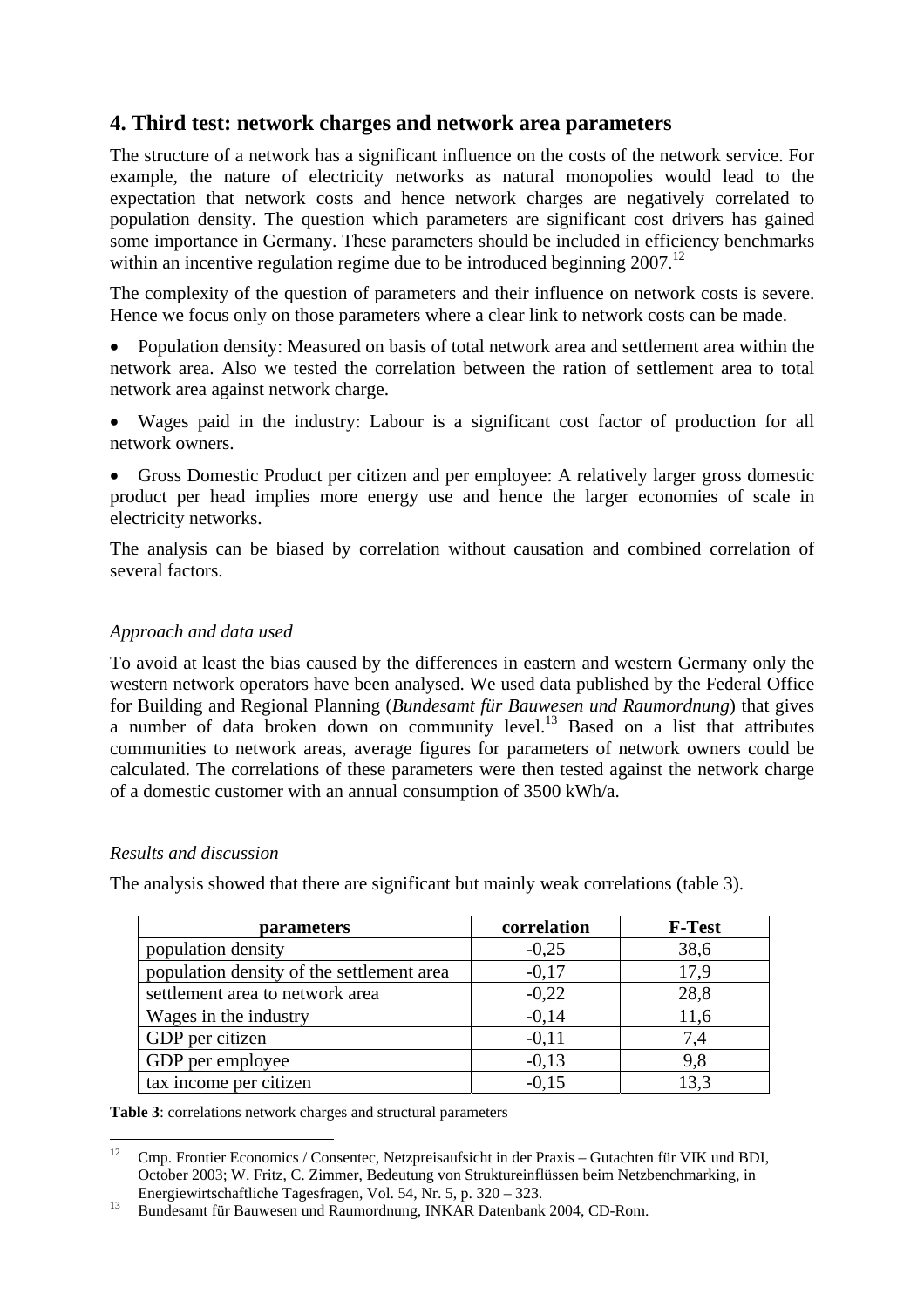# **4. Third test: network charges and network area parameters**

The structure of a network has a significant influence on the costs of the network service. For example, the nature of electricity networks as natural monopolies would lead to the expectation that network costs and hence network charges are negatively correlated to population density. The question which parameters are significant cost drivers has gained some importance in Germany. These parameters should be included in efficiency benchmarks within an incentive regulation regime due to be introduced beginning  $2007$ <sup>12</sup>

The complexity of the question of parameters and their influence on network costs is severe. Hence we focus only on those parameters where a clear link to network costs can be made.

• Population density: Measured on basis of total network area and settlement area within the network area. Also we tested the correlation between the ration of settlement area to total network area against network charge.

• Wages paid in the industry: Labour is a significant cost factor of production for all network owners.

• Gross Domestic Product per citizen and per employee: A relatively larger gross domestic product per head implies more energy use and hence the larger economies of scale in electricity networks.

The analysis can be biased by correlation without causation and combined correlation of several factors.

# *Approach and data used*

To avoid at least the bias caused by the differences in eastern and western Germany only the western network operators have been analysed. We used data published by the Federal Office for Building and Regional Planning (*Bundesamt für Bauwesen und Raumordnung*) that gives a number of data broken down on community level.<sup>13</sup> Based on a list that attributes communities to network areas, average figures for parameters of network owners could be calculated. The correlations of these parameters were then tested against the network charge of a domestic customer with an annual consumption of 3500 kWh/a.

# *Results and discussion*

The analysis showed that there are significant but mainly weak correlations (table 3).

| <i>parameters</i>                         | correlation | <b>F-Test</b> |
|-------------------------------------------|-------------|---------------|
| population density                        | $-0,25$     | 38,6          |
| population density of the settlement area | $-0,17$     | 17,9          |
| settlement area to network area           | $-0,22$     | 28,8          |
| Wages in the industry                     | $-0,14$     | 11,6          |
| GDP per citizen                           | $-0,11$     | 7,4           |
| GDP per employee                          | $-0,13$     | 9,8           |
| tax income per citizen                    | $-0.15$     | 13.3          |

**Table 3**: correlations network charges and structural parameters

 $12<sup>12</sup>$ 12 Cmp. Frontier Economics / Consentec, Netzpreisaufsicht in der Praxis – Gutachten für VIK und BDI, October 2003; W. Fritz, C. Zimmer, Bedeutung von Struktureinflüssen beim Netzbenchmarking, in

Energiewirtschaftliche Tagesfragen, Vol. 54, Nr. 5, p. 320 – 323.<br>Bundesamt für Bauwesen und Raumordnung, INKAR Datenbank 2004, CD-Rom.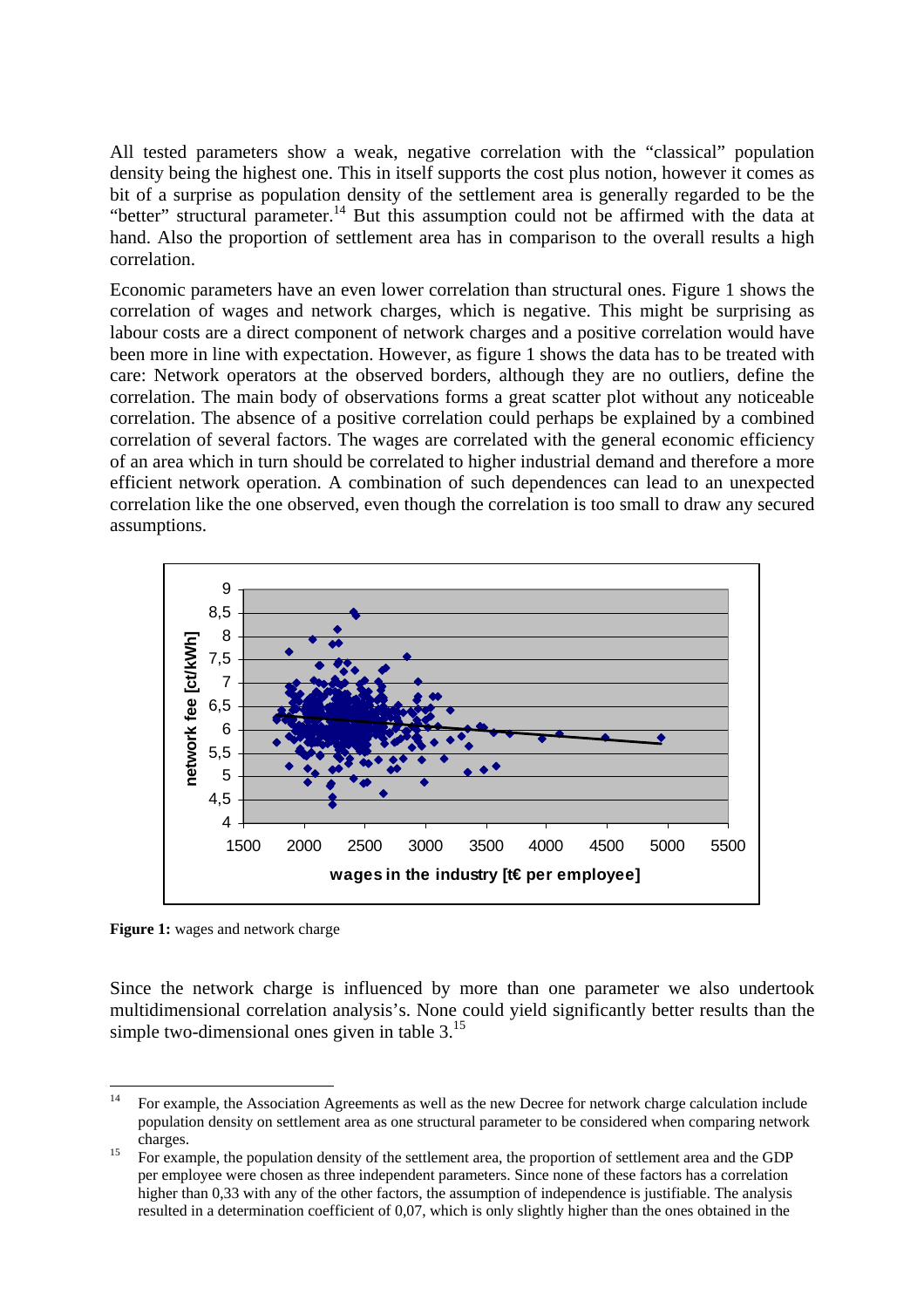All tested parameters show a weak, negative correlation with the "classical" population density being the highest one. This in itself supports the cost plus notion, however it comes as bit of a surprise as population density of the settlement area is generally regarded to be the "better" structural parameter.<sup>14</sup> But this assumption could not be affirmed with the data at hand. Also the proportion of settlement area has in comparison to the overall results a high correlation.

Economic parameters have an even lower correlation than structural ones. Figure 1 shows the correlation of wages and network charges, which is negative. This might be surprising as labour costs are a direct component of network charges and a positive correlation would have been more in line with expectation. However, as figure 1 shows the data has to be treated with care: Network operators at the observed borders, although they are no outliers, define the correlation. The main body of observations forms a great scatter plot without any noticeable correlation. The absence of a positive correlation could perhaps be explained by a combined correlation of several factors. The wages are correlated with the general economic efficiency of an area which in turn should be correlated to higher industrial demand and therefore a more efficient network operation. A combination of such dependences can lead to an unexpected correlation like the one observed, even though the correlation is too small to draw any secured assumptions.



**Figure 1:** wages and network charge

Since the network charge is influenced by more than one parameter we also undertook multidimensional correlation analysis's. None could yield significantly better results than the simple two-dimensional ones given in table  $3<sup>15</sup>$ 

 $14$ 14 For example, the Association Agreements as well as the new Decree for network charge calculation include population density on settlement area as one structural parameter to be considered when comparing network

charges. 15 For example, the population density of the settlement area, the proportion of settlement area and the GDP per employee were chosen as three independent parameters. Since none of these factors has a correlation higher than 0,33 with any of the other factors, the assumption of independence is justifiable. The analysis resulted in a determination coefficient of 0,07, which is only slightly higher than the ones obtained in the